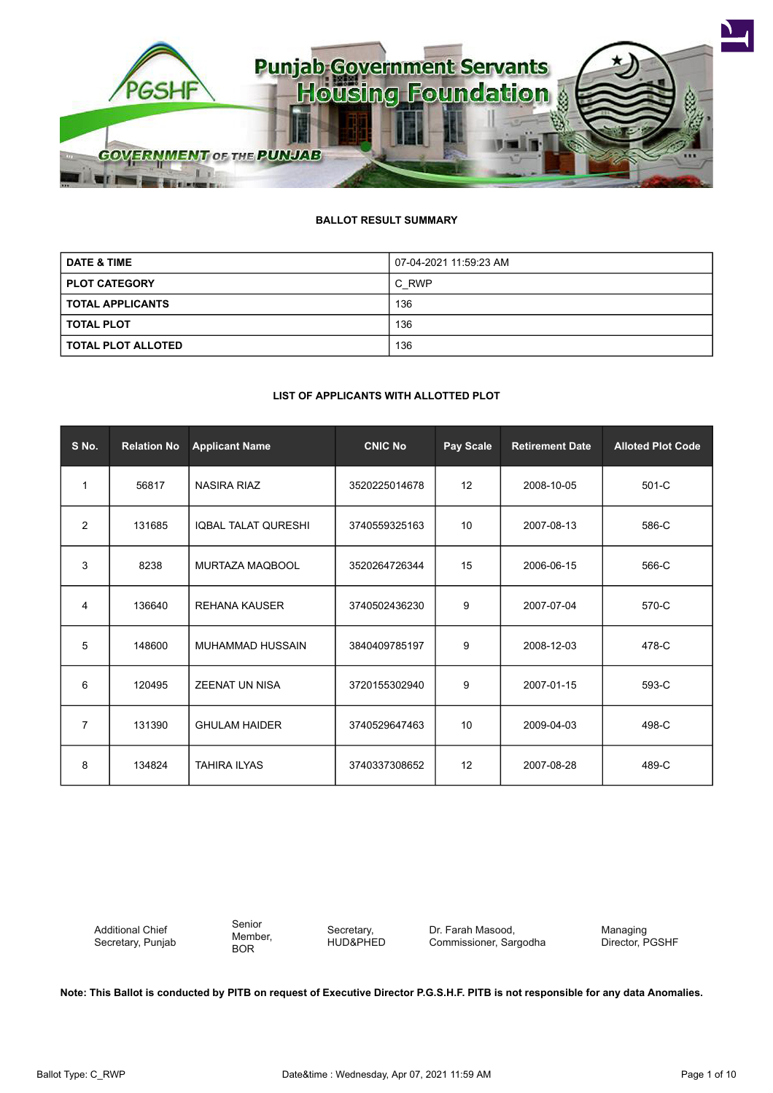

# **BALLOT RESULT SUMMARY**

| <b>DATE &amp; TIME</b>    | 07-04-2021 11:59:23 AM |
|---------------------------|------------------------|
| <b>PLOT CATEGORY</b>      | C RWP                  |
| <b>TOTAL APPLICANTS</b>   | 136                    |
| <b>TOTAL PLOT</b>         | 136                    |
| <b>TOTAL PLOT ALLOTED</b> | 136                    |

#### **LIST OF APPLICANTS WITH ALLOTTED PLOT**

| S No.          | <b>Relation No</b> | <b>Applicant Name</b>      | <b>CNIC No</b> | Pay Scale | <b>Retirement Date</b> | <b>Alloted Plot Code</b> |
|----------------|--------------------|----------------------------|----------------|-----------|------------------------|--------------------------|
| $\mathbf 1$    | 56817              | <b>NASIRA RIAZ</b>         | 3520225014678  | 12        | 2008-10-05             | $501-C$                  |
| $\overline{2}$ | 131685             | <b>IQBAL TALAT QURESHI</b> | 3740559325163  | 10        | 2007-08-13             | 586-C                    |
| 3              | 8238               | MURTAZA MAQBOOL            | 3520264726344  | 15        | 2006-06-15             | 566-C                    |
| 4              | 136640             | <b>REHANA KAUSER</b>       | 3740502436230  | 9         | 2007-07-04             | 570-C                    |
| 5              | 148600             | MUHAMMAD HUSSAIN           | 3840409785197  | 9         | 2008-12-03             | 478-C                    |
| 6              | 120495             | <b>ZEENAT UN NISA</b>      | 3720155302940  | 9         | 2007-01-15             | 593-C                    |
| $\overline{7}$ | 131390             | <b>GHULAM HAIDER</b>       | 3740529647463  | 10        | 2009-04-03             | 498-C                    |
| 8              | 134824             | <b>TAHIRA ILYAS</b>        | 3740337308652  | 12        | 2007-08-28             | 489-C                    |

Additional Chief Secretary, Punjab Senior Member, BOR

Secretary, HUD&PHED Dr. Farah Masood, Commissioner, Sargodha Managing Director, PGSHF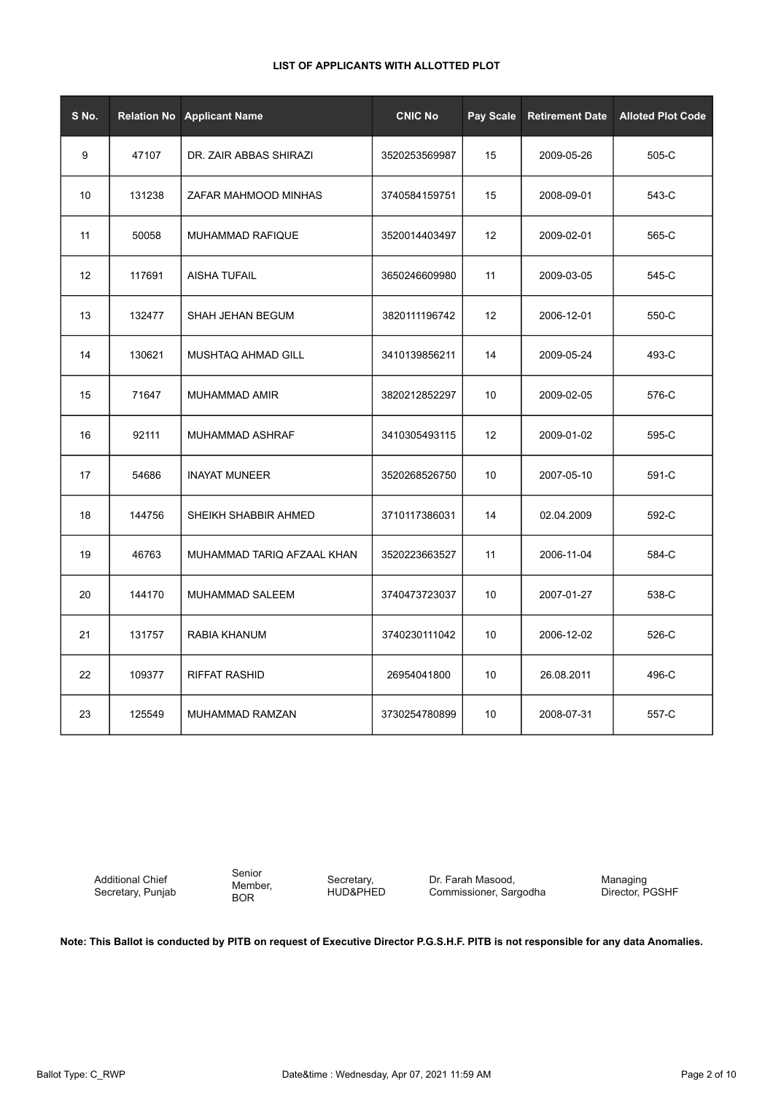| S No. | <b>Relation No</b> | <b>Applicant Name</b>      | <b>CNIC No</b> | Pay Scale | <b>Retirement Date</b> | <b>Alloted Plot Code</b> |
|-------|--------------------|----------------------------|----------------|-----------|------------------------|--------------------------|
| 9     | 47107              | DR. ZAIR ABBAS SHIRAZI     | 3520253569987  | 15        | 2009-05-26             | 505-C                    |
| 10    | 131238             | ZAFAR MAHMOOD MINHAS       | 3740584159751  | 15        | 2008-09-01             | 543-C                    |
| 11    | 50058              | <b>MUHAMMAD RAFIQUE</b>    | 3520014403497  | 12        | 2009-02-01             | 565-C                    |
| 12    | 117691             | <b>AISHA TUFAIL</b>        | 3650246609980  | 11        | 2009-03-05             | 545-C                    |
| 13    | 132477             | SHAH JEHAN BEGUM           | 3820111196742  | 12        | 2006-12-01             | 550-C                    |
| 14    | 130621             | MUSHTAQ AHMAD GILL         | 3410139856211  | 14        | 2009-05-24             | 493-C                    |
| 15    | 71647              | <b>MUHAMMAD AMIR</b>       | 3820212852297  | 10        | 2009-02-05             | 576-C                    |
| 16    | 92111              | MUHAMMAD ASHRAF            | 3410305493115  | 12        | 2009-01-02             | 595-C                    |
| 17    | 54686              | <b>INAYAT MUNEER</b>       | 3520268526750  | 10        | 2007-05-10             | 591-C                    |
| 18    | 144756             | SHEIKH SHABBIR AHMED       | 3710117386031  | 14        | 02.04.2009             | 592-C                    |
| 19    | 46763              | MUHAMMAD TARIQ AFZAAL KHAN | 3520223663527  | 11        | 2006-11-04             | 584-C                    |
| 20    | 144170             | <b>MUHAMMAD SALEEM</b>     | 3740473723037  | 10        | 2007-01-27             | 538-C                    |
| 21    | 131757             | RABIA KHANUM               | 3740230111042  | 10        | 2006-12-02             | 526-C                    |
| 22    | 109377             | <b>RIFFAT RASHID</b>       | 26954041800    | 10        | 26.08.2011             | 496-C                    |
| 23    | 125549             | MUHAMMAD RAMZAN            | 3730254780899  | 10        | 2008-07-31             | 557-C                    |

Additional Chief Secretary, Punjab

Senior Member, BOR

Secretary, HUD&PHED

Dr. Farah Masood, Commissioner, Sargodha Managing Director, PGSHF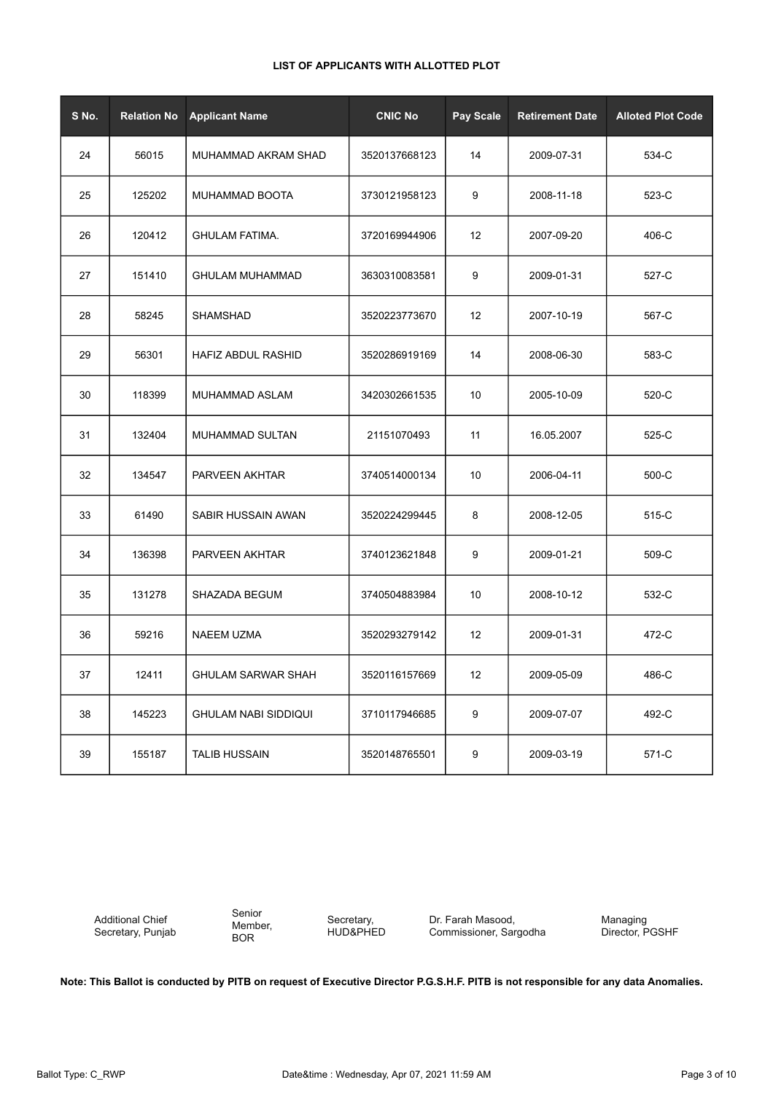| S No. | <b>Relation No</b> | <b>Applicant Name</b>       | <b>CNIC No</b> | Pay Scale         | <b>Retirement Date</b> | <b>Alloted Plot Code</b> |
|-------|--------------------|-----------------------------|----------------|-------------------|------------------------|--------------------------|
| 24    | 56015              | MUHAMMAD AKRAM SHAD         | 3520137668123  | 14                | 2009-07-31             | 534-C                    |
| 25    | 125202             | MUHAMMAD BOOTA              | 3730121958123  | 9                 | 2008-11-18             | 523-C                    |
| 26    | 120412             | <b>GHULAM FATIMA.</b>       | 3720169944906  | 12                | 2007-09-20             | 406-C                    |
| 27    | 151410             | <b>GHULAM MUHAMMAD</b>      | 3630310083581  | 9                 | 2009-01-31             | 527-C                    |
| 28    | 58245              | SHAMSHAD                    | 3520223773670  | 12                | 2007-10-19             | 567-C                    |
| 29    | 56301              | HAFIZ ABDUL RASHID          | 3520286919169  | 14                | 2008-06-30             | 583-C                    |
| 30    | 118399             | MUHAMMAD ASLAM              | 3420302661535  | 10                | 2005-10-09             | 520-C                    |
| 31    | 132404             | <b>MUHAMMAD SULTAN</b>      | 21151070493    | 11                | 16.05.2007             | 525-C                    |
| 32    | 134547             | PARVEEN AKHTAR              | 3740514000134  | 10                | 2006-04-11             | 500-C                    |
| 33    | 61490              | SABIR HUSSAIN AWAN          | 3520224299445  | 8                 | 2008-12-05             | 515-C                    |
| 34    | 136398             | PARVEEN AKHTAR              | 3740123621848  | 9                 | 2009-01-21             | 509-C                    |
| 35    | 131278             | SHAZADA BEGUM               | 3740504883984  | 10                | 2008-10-12             | 532-C                    |
| 36    | 59216              | NAEEM UZMA                  | 3520293279142  | $12 \overline{ }$ | 2009-01-31             | 472-C                    |
| 37    | 12411              | <b>GHULAM SARWAR SHAH</b>   | 3520116157669  | 12                | 2009-05-09             | 486-C                    |
| 38    | 145223             | <b>GHULAM NABI SIDDIQUI</b> | 3710117946685  | $\boldsymbol{9}$  | 2009-07-07             | 492-C                    |
| 39    | 155187             | <b>TALIB HUSSAIN</b>        | 3520148765501  | 9                 | 2009-03-19             | 571-C                    |

Additional Chief Secretary, Punjab Senior Member, BOR

Secretary, HUD&PHED Dr. Farah Masood, Commissioner, Sargodha Managing Director, PGSHF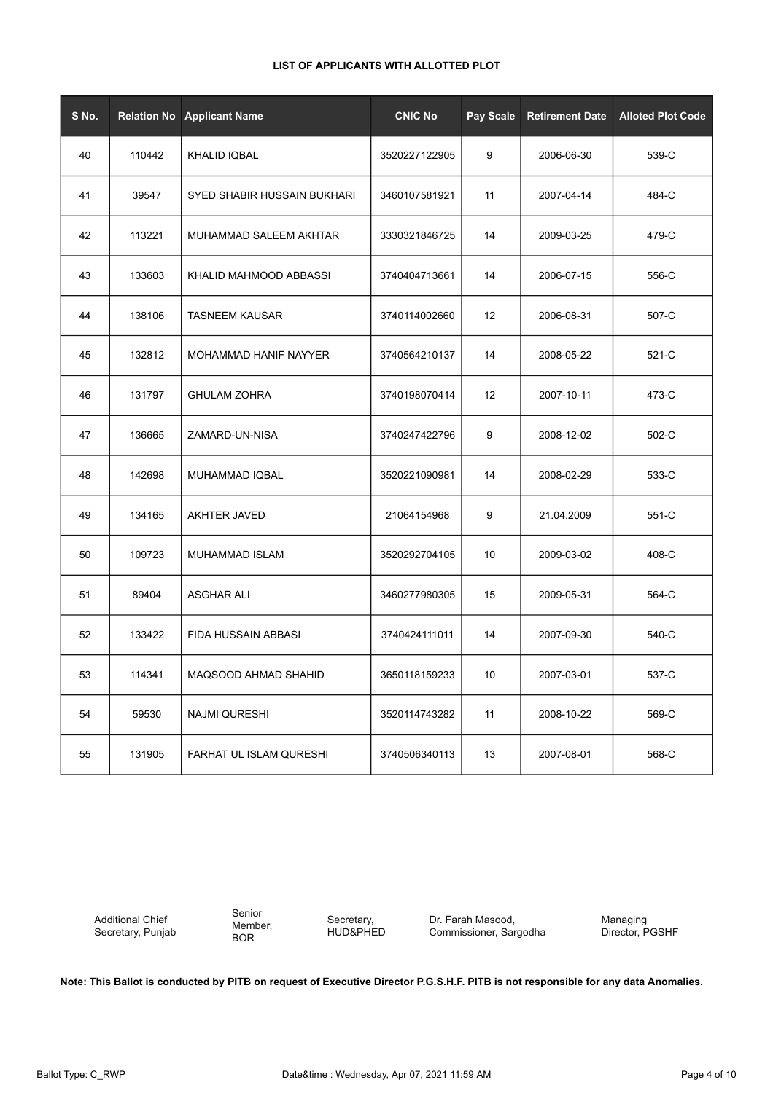| S No. | <b>Relation No</b> | <b>Applicant Name</b>       | <b>CNIC No</b> | Pay Scale | <b>Retirement Date</b> | <b>Alloted Plot Code</b> |
|-------|--------------------|-----------------------------|----------------|-----------|------------------------|--------------------------|
| 40    | 110442             | <b>KHALID IQBAL</b>         | 3520227122905  | 9         | 2006-06-30             | 539-C                    |
| 41    | 39547              | SYED SHABIR HUSSAIN BUKHARI | 3460107581921  | 11        | 2007-04-14             | 484-C                    |
| 42    | 113221             | MUHAMMAD SALEEM AKHTAR      | 3330321846725  | 14        | 2009-03-25             | 479-C                    |
| 43    | 133603             | KHALID MAHMOOD ABBASSI      | 3740404713661  | 14        | 2006-07-15             | 556-C                    |
| 44    | 138106             | <b>TASNEEM KAUSAR</b>       | 3740114002660  | 12        | 2006-08-31             | 507-C                    |
| 45    | 132812             | MOHAMMAD HANIF NAYYER       | 3740564210137  | 14        | 2008-05-22             | 521-C                    |
| 46    | 131797             | <b>GHULAM ZOHRA</b>         | 3740198070414  | 12        | 2007-10-11             | 473-C                    |
| 47    | 136665             | ZAMARD-UN-NISA              | 3740247422796  | 9         | 2008-12-02             | 502-C                    |
| 48    | 142698             | MUHAMMAD IQBAL              | 3520221090981  | 14        | 2008-02-29             | 533-C                    |
| 49    | 134165             | AKHTER JAVED                | 21064154968    | 9         | 21.04.2009             | 551-C                    |
| 50    | 109723             | <b>MUHAMMAD ISLAM</b>       | 3520292704105  | 10        | 2009-03-02             | 408-C                    |
| 51    | 89404              | <b>ASGHAR ALI</b>           | 3460277980305  | 15        | 2009-05-31             | 564-C                    |
| 52    | 133422             | FIDA HUSSAIN ABBASI         | 3740424111011  | 14        | 2007-09-30             | 540-C                    |
| 53    | 114341             | <b>MAQSOOD AHMAD SHAHID</b> | 3650118159233  | 10        | 2007-03-01             | 537-C                    |
| 54    | 59530              | <b>NAJMI QURESHI</b>        | 3520114743282  | 11        | 2008-10-22             | 569-C                    |
| 55    | 131905             | FARHAT UL ISLAM QURESHI     | 3740506340113  | 13        | 2007-08-01             | 568-C                    |

Additional Chief Secretary, Punjab Senior Member, BOR

Secretary, HUD&PHED Dr. Farah Masood, Commissioner, Sargodha Managing Director, PGSHF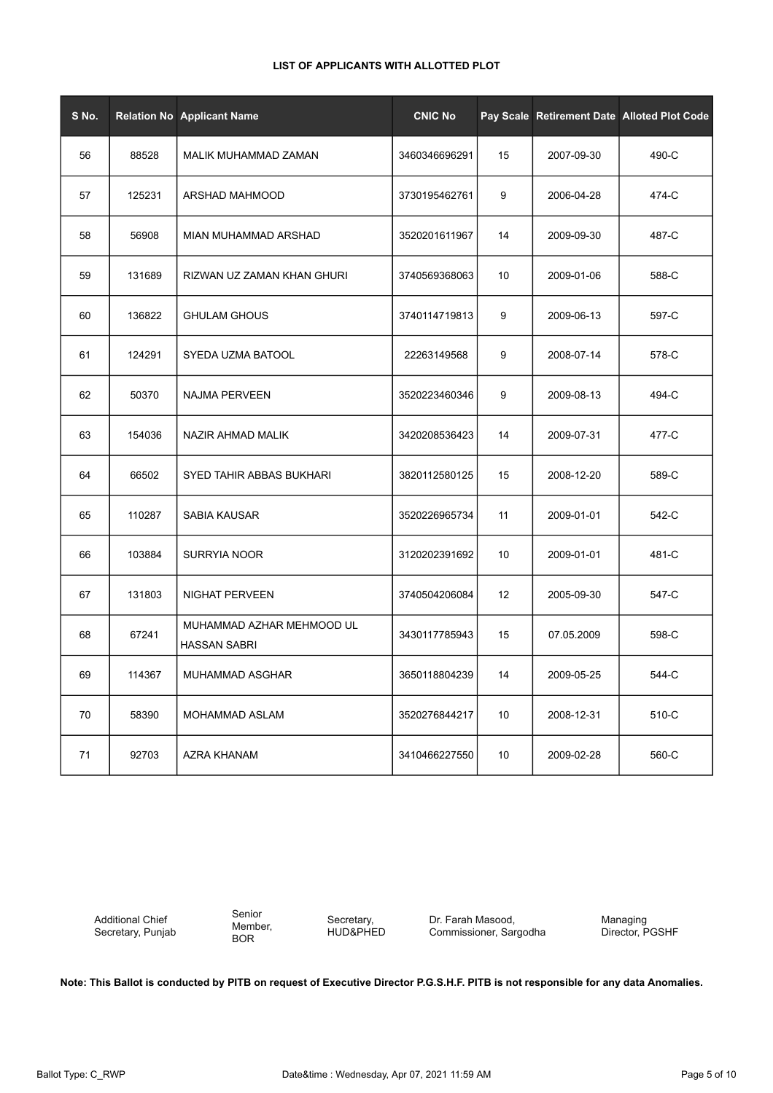|  | LIST OF APPLICANTS WITH ALLOTTED PLOT |  |  |
|--|---------------------------------------|--|--|
|--|---------------------------------------|--|--|

| S No. |        | <b>Relation No Applicant Name</b>                | <b>CNIC No</b> |    |            | Pay Scale Retirement Date Alloted Plot Code |
|-------|--------|--------------------------------------------------|----------------|----|------------|---------------------------------------------|
| 56    | 88528  | MALIK MUHAMMAD ZAMAN                             | 3460346696291  | 15 | 2007-09-30 | 490-C                                       |
| 57    | 125231 | ARSHAD MAHMOOD                                   | 3730195462761  | 9  | 2006-04-28 | 474-C                                       |
| 58    | 56908  | MIAN MUHAMMAD ARSHAD                             | 3520201611967  | 14 | 2009-09-30 | 487-C                                       |
| 59    | 131689 | RIZWAN UZ ZAMAN KHAN GHURI                       | 3740569368063  | 10 | 2009-01-06 | 588-C                                       |
| 60    | 136822 | <b>GHULAM GHOUS</b>                              | 3740114719813  | 9  | 2009-06-13 | 597-C                                       |
| 61    | 124291 | SYEDA UZMA BATOOL                                | 22263149568    | 9  | 2008-07-14 | 578-C                                       |
| 62    | 50370  | <b>NAJMA PERVEEN</b>                             | 3520223460346  | 9  | 2009-08-13 | 494-C                                       |
| 63    | 154036 | NAZIR AHMAD MALIK                                | 3420208536423  | 14 | 2009-07-31 | 477-C                                       |
| 64    | 66502  | SYED TAHIR ABBAS BUKHARI                         | 3820112580125  | 15 | 2008-12-20 | 589-C                                       |
| 65    | 110287 | SABIA KAUSAR                                     | 3520226965734  | 11 | 2009-01-01 | 542-C                                       |
| 66    | 103884 | <b>SURRYIA NOOR</b>                              | 3120202391692  | 10 | 2009-01-01 | 481-C                                       |
| 67    | 131803 | <b>NIGHAT PERVEEN</b>                            | 3740504206084  | 12 | 2005-09-30 | 547-C                                       |
| 68    | 67241  | MUHAMMAD AZHAR MEHMOOD UL<br><b>HASSAN SABRI</b> | 3430117785943  | 15 | 07.05.2009 | 598-C                                       |
| 69    | 114367 | MUHAMMAD ASGHAR                                  | 3650118804239  | 14 | 2009-05-25 | 544-C                                       |
| 70    | 58390  | MOHAMMAD ASLAM                                   | 3520276844217  | 10 | 2008-12-31 | 510-C                                       |
| 71    | 92703  | AZRA KHANAM                                      | 3410466227550  | 10 | 2009-02-28 | 560-C                                       |

Additional Chief Secretary, Punjab Senior Member, BOR

Secretary, HUD&PHED

Dr. Farah Masood, Commissioner, Sargodha Managing Director, PGSHF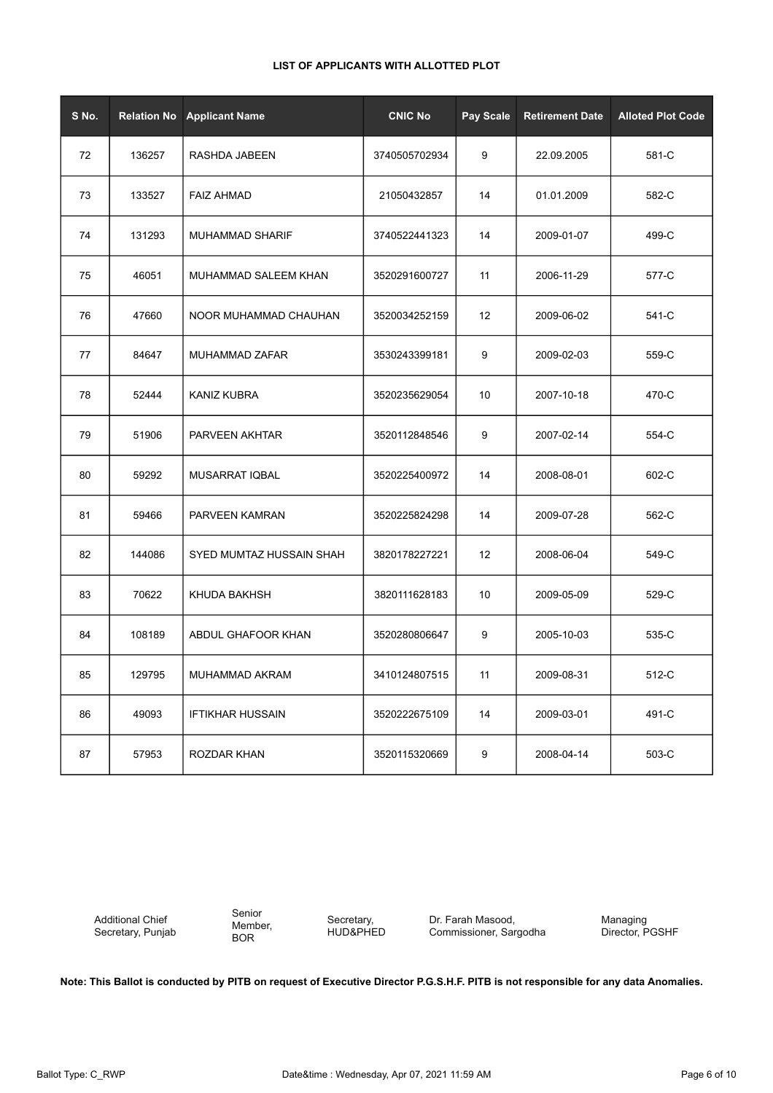| S No. | <b>Relation No</b> | <b>Applicant Name</b>    | <b>CNIC No</b> | Pay Scale | <b>Retirement Date</b> | <b>Alloted Plot Code</b> |
|-------|--------------------|--------------------------|----------------|-----------|------------------------|--------------------------|
| 72    | 136257             | RASHDA JABEEN            | 3740505702934  | 9         | 22.09.2005             | 581-C                    |
| 73    | 133527             | <b>FAIZ AHMAD</b>        | 21050432857    | 14        | 01.01.2009             | 582-C                    |
| 74    | 131293             | <b>MUHAMMAD SHARIF</b>   | 3740522441323  | 14        | 2009-01-07             | 499-C                    |
| 75    | 46051              | MUHAMMAD SALEEM KHAN     | 3520291600727  | 11        | 2006-11-29             | 577-C                    |
| 76    | 47660              | NOOR MUHAMMAD CHAUHAN    | 3520034252159  | 12        | 2009-06-02             | 541-C                    |
| 77    | 84647              | MUHAMMAD ZAFAR           | 3530243399181  | 9         | 2009-02-03             | 559-C                    |
| 78    | 52444              | <b>KANIZ KUBRA</b>       | 3520235629054  | 10        | 2007-10-18             | 470-C                    |
| 79    | 51906              | PARVEEN AKHTAR           | 3520112848546  | 9         | 2007-02-14             | 554-C                    |
| 80    | 59292              | MUSARRAT IQBAL           | 3520225400972  | 14        | 2008-08-01             | 602-C                    |
| 81    | 59466              | PARVEEN KAMRAN           | 3520225824298  | 14        | 2009-07-28             | 562-C                    |
| 82    | 144086             | SYED MUMTAZ HUSSAIN SHAH | 3820178227221  | 12        | 2008-06-04             | 549-C                    |
| 83    | 70622              | KHUDA BAKHSH             | 3820111628183  | 10        | 2009-05-09             | 529-C                    |
| 84    | 108189             | ABDUL GHAFOOR KHAN       | 3520280806647  | 9         | 2005-10-03             | 535-C                    |
| 85    | 129795             | MUHAMMAD AKRAM           | 3410124807515  | 11        | 2009-08-31             | 512-C                    |
| 86    | 49093              | <b>IFTIKHAR HUSSAIN</b>  | 3520222675109  | 14        | 2009-03-01             | 491-C                    |
| 87    | 57953              | ROZDAR KHAN              | 3520115320669  | 9         | 2008-04-14             | 503-C                    |

Additional Chief Secretary, Punjab Senior Member, BOR

Secretary, HUD&PHED Dr. Farah Masood, Commissioner, Sargodha Managing Director, PGSHF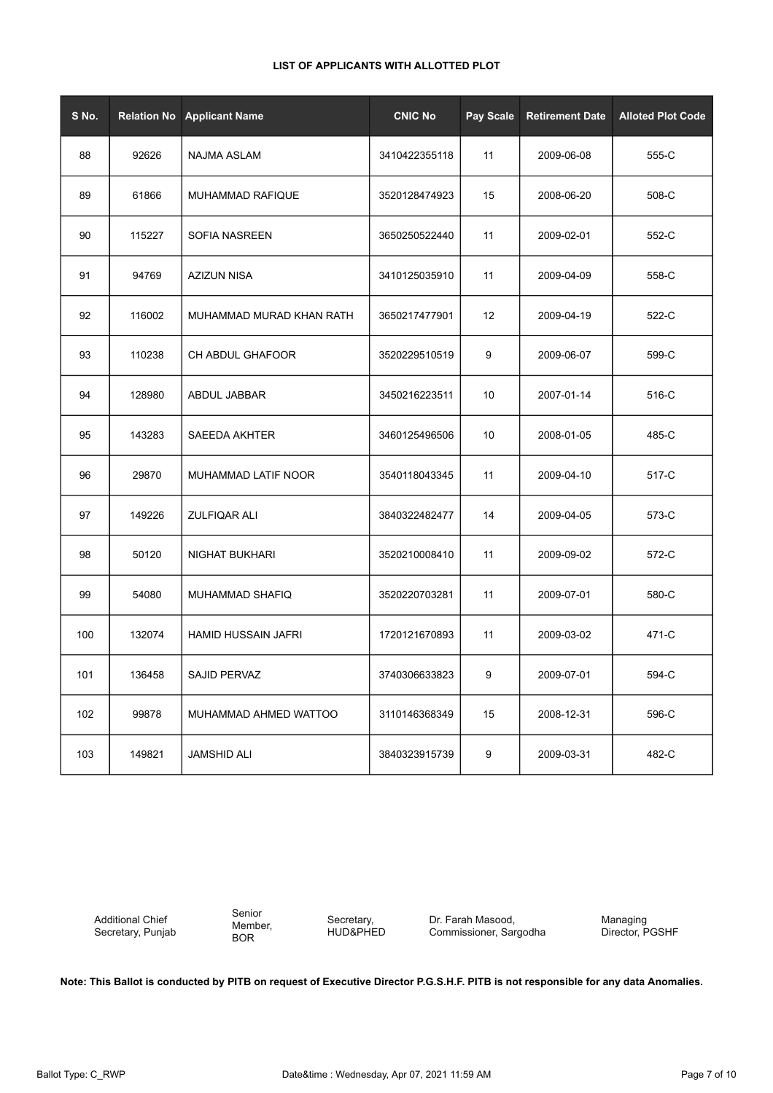|  | LIST OF APPLICANTS WITH ALLOTTED PLOT |
|--|---------------------------------------|
|--|---------------------------------------|

| S No. | <b>Relation No</b> | <b>Applicant Name</b>      | <b>CNIC No</b> | Pay Scale | <b>Retirement Date</b> | <b>Alloted Plot Code</b> |
|-------|--------------------|----------------------------|----------------|-----------|------------------------|--------------------------|
| 88    | 92626              | NAJMA ASLAM                | 3410422355118  | 11        | 2009-06-08             | 555-C                    |
| 89    | 61866              | MUHAMMAD RAFIQUE           | 3520128474923  | 15        | 2008-06-20             | 508-C                    |
| 90    | 115227             | <b>SOFIA NASREEN</b>       | 3650250522440  | 11        | 2009-02-01             | 552-C                    |
| 91    | 94769              | AZIZUN NISA                | 3410125035910  | 11        | 2009-04-09             | 558-C                    |
| 92    | 116002             | MUHAMMAD MURAD KHAN RATH   | 3650217477901  | 12        | 2009-04-19             | 522-C                    |
| 93    | 110238             | CH ABDUL GHAFOOR           | 3520229510519  | 9         | 2009-06-07             | 599-C                    |
| 94    | 128980             | ABDUL JABBAR               | 3450216223511  | 10        | 2007-01-14             | 516-C                    |
| 95    | 143283             | <b>SAEEDA AKHTER</b>       | 3460125496506  | 10        | 2008-01-05             | 485-C                    |
| 96    | 29870              | MUHAMMAD LATIF NOOR        | 3540118043345  | 11        | 2009-04-10             | 517-C                    |
| 97    | 149226             | ZULFIQAR ALI               | 3840322482477  | 14        | 2009-04-05             | 573-C                    |
| 98    | 50120              | NIGHAT BUKHARI             | 3520210008410  | 11        | 2009-09-02             | 572-C                    |
| 99    | 54080              | MUHAMMAD SHAFIQ            | 3520220703281  | 11        | 2009-07-01             | 580-C                    |
| 100   | 132074             | <b>HAMID HUSSAIN JAFRI</b> | 1720121670893  | 11        | 2009-03-02             | 471-C                    |
| 101   | 136458             | SAJID PERVAZ               | 3740306633823  | 9         | 2009-07-01             | 594-C                    |
| 102   | 99878              | MUHAMMAD AHMED WATTOO      | 3110146368349  | 15        | 2008-12-31             | 596-C                    |
| 103   | 149821             | <b>JAMSHID ALI</b>         | 3840323915739  | 9         | 2009-03-31             | 482-C                    |

Additional Chief Secretary, Punjab Senior Member, BOR

Secretary, HUD&PHED Dr. Farah Masood, Commissioner, Sargodha Managing Director, PGSHF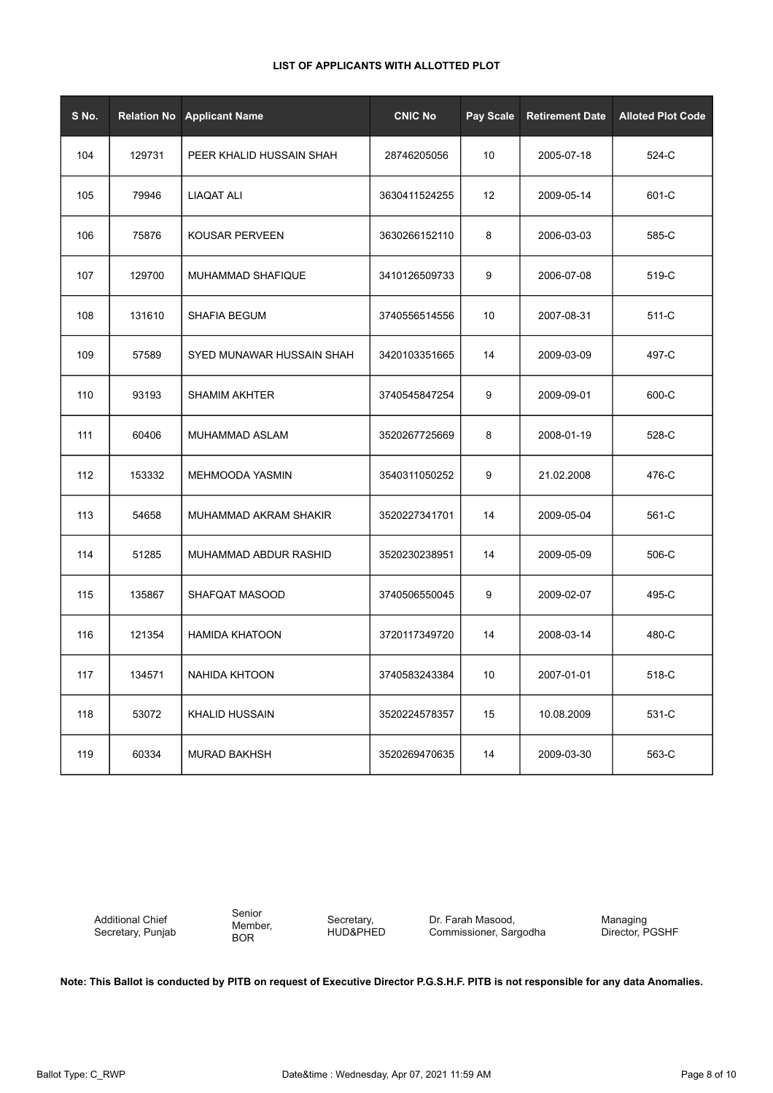| S No. | <b>Relation No</b> | <b>Applicant Name</b>     | <b>CNIC No</b> | Pay Scale | <b>Retirement Date</b> | <b>Alloted Plot Code</b> |
|-------|--------------------|---------------------------|----------------|-----------|------------------------|--------------------------|
| 104   | 129731             | PEER KHALID HUSSAIN SHAH  | 28746205056    | 10        | 2005-07-18             | 524-C                    |
| 105   | 79946              | LIAQAT ALI                | 3630411524255  | 12        | 2009-05-14             | 601-C                    |
| 106   | 75876              | KOUSAR PERVEEN            | 3630266152110  | 8         | 2006-03-03             | 585-C                    |
| 107   | 129700             | MUHAMMAD SHAFIQUE         | 3410126509733  | 9         | 2006-07-08             | 519-C                    |
| 108   | 131610             | <b>SHAFIA BEGUM</b>       | 3740556514556  | 10        | 2007-08-31             | 511-C                    |
| 109   | 57589              | SYED MUNAWAR HUSSAIN SHAH | 3420103351665  | 14        | 2009-03-09             | 497-C                    |
| 110   | 93193              | <b>SHAMIM AKHTER</b>      | 3740545847254  | 9         | 2009-09-01             | 600-C                    |
| 111   | 60406              | MUHAMMAD ASLAM            | 3520267725669  | 8         | 2008-01-19             | 528-C                    |
| 112   | 153332             | MEHMOODA YASMIN           | 3540311050252  | 9         | 21.02.2008             | 476-C                    |
| 113   | 54658              | MUHAMMAD AKRAM SHAKIR     | 3520227341701  | 14        | 2009-05-04             | 561-C                    |
| 114   | 51285              | MUHAMMAD ABDUR RASHID     | 3520230238951  | 14        | 2009-05-09             | 506-C                    |
| 115   | 135867             | SHAFQAT MASOOD            | 3740506550045  | 9         | 2009-02-07             | 495-C                    |
| 116   | 121354             | <b>HAMIDA KHATOON</b>     | 3720117349720  | 14        | 2008-03-14             | 480-C                    |
| 117   | 134571             | NAHIDA KHTOON             | 3740583243384  | 10        | 2007-01-01             | 518-C                    |
| 118   | 53072              | <b>KHALID HUSSAIN</b>     | 3520224578357  | 15        | 10.08.2009             | 531-C                    |
| 119   | 60334              | <b>MURAD BAKHSH</b>       | 3520269470635  | 14        | 2009-03-30             | 563-C                    |

Additional Chief Secretary, Punjab Senior Member, BOR

Secretary, HUD&PHED Dr. Farah Masood, Commissioner, Sargodha Managing Director, PGSHF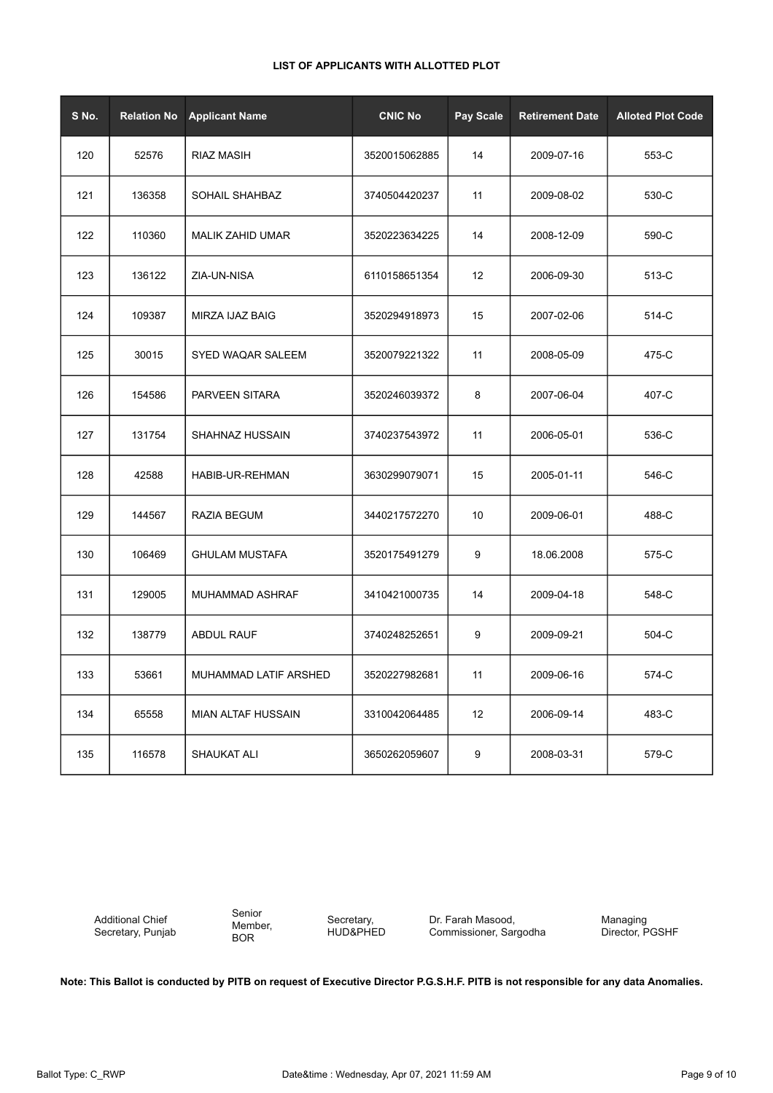|  | LIST OF APPLICANTS WITH ALLOTTED PLOT |  |  |
|--|---------------------------------------|--|--|
|--|---------------------------------------|--|--|

| S No. | <b>Relation No</b> | <b>Applicant Name</b>     | <b>CNIC No</b> | Pay Scale | <b>Retirement Date</b> | <b>Alloted Plot Code</b> |
|-------|--------------------|---------------------------|----------------|-----------|------------------------|--------------------------|
| 120   | 52576              | <b>RIAZ MASIH</b>         | 3520015062885  | 14        | 2009-07-16             | 553-C                    |
| 121   | 136358             | SOHAIL SHAHBAZ            | 3740504420237  | 11        | 2009-08-02             | 530-C                    |
| 122   | 110360             | <b>MALIK ZAHID UMAR</b>   | 3520223634225  | 14        | 2008-12-09             | 590-C                    |
| 123   | 136122             | ZIA-UN-NISA               | 6110158651354  | 12        | 2006-09-30             | 513-C                    |
| 124   | 109387             | MIRZA IJAZ BAIG           | 3520294918973  | 15        | 2007-02-06             | 514-C                    |
| 125   | 30015              | SYED WAQAR SALEEM         | 3520079221322  | 11        | 2008-05-09             | 475-C                    |
| 126   | 154586             | PARVEEN SITARA            | 3520246039372  | 8         | 2007-06-04             | 407-C                    |
| 127   | 131754             | SHAHNAZ HUSSAIN           | 3740237543972  | 11        | 2006-05-01             | 536-C                    |
| 128   | 42588              | HABIB-UR-REHMAN           | 3630299079071  | 15        | 2005-01-11             | 546-C                    |
| 129   | 144567             | RAZIA BEGUM               | 3440217572270  | 10        | 2009-06-01             | 488-C                    |
| 130   | 106469             | <b>GHULAM MUSTAFA</b>     | 3520175491279  | 9         | 18.06.2008             | 575-C                    |
| 131   | 129005             | MUHAMMAD ASHRAF           | 3410421000735  | 14        | 2009-04-18             | 548-C                    |
| 132   | 138779             | <b>ABDUL RAUF</b>         | 3740248252651  | 9         | 2009-09-21             | 504-C                    |
| 133   | 53661              | MUHAMMAD LATIF ARSHED     | 3520227982681  | 11        | 2009-06-16             | 574-C                    |
| 134   | 65558              | <b>MIAN ALTAF HUSSAIN</b> | 3310042064485  | 12        | 2006-09-14             | 483-C                    |
| 135   | 116578             | SHAUKAT ALI               | 3650262059607  | 9         | 2008-03-31             | 579-C                    |

Additional Chief Secretary, Punjab Senior Member, BOR

Secretary, HUD&PHED Dr. Farah Masood, Commissioner, Sargodha Managing Director, PGSHF